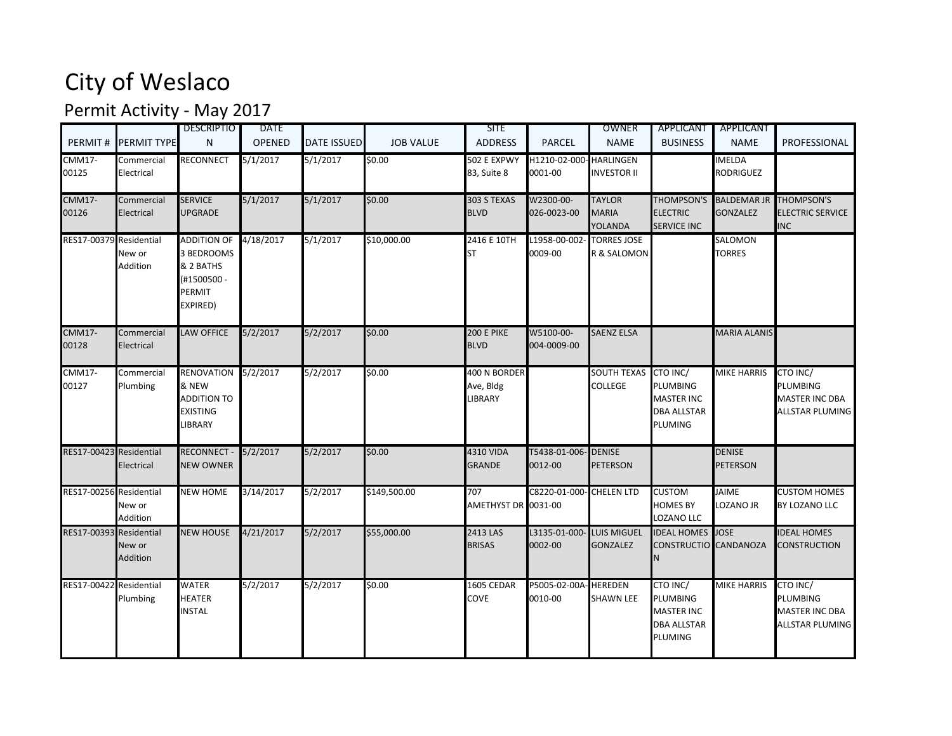## City of Weslaco

## Permit Activity - May 2017

|                         |                          | <b>DESCRIPTIO</b>                                                                  | <b>DATE</b>   |                    |                  | <b>SITE</b>                                 |                                   | OWNER                                           | <b>APPLICANT</b>                                                                  | APPLICANT                                 |                                                                  |
|-------------------------|--------------------------|------------------------------------------------------------------------------------|---------------|--------------------|------------------|---------------------------------------------|-----------------------------------|-------------------------------------------------|-----------------------------------------------------------------------------------|-------------------------------------------|------------------------------------------------------------------|
| PERMIT#                 | <b>PERMIT TYPE</b>       | N                                                                                  | <b>OPENED</b> | <b>DATE ISSUED</b> | <b>JOB VALUE</b> | <b>ADDRESS</b>                              | <b>PARCEL</b>                     | <b>NAME</b>                                     | <b>BUSINESS</b>                                                                   | <b>NAME</b>                               | PROFESSIONAL                                                     |
| <b>CMM17-</b><br>00125  | Commercial<br>Electrical | RECONNECT                                                                          | 5/1/2017      | 5/1/2017           | \$0.00           | 502 E EXPWY<br>83, Suite 8                  | H1210-02-000-HARLINGEN<br>0001-00 | <b>INVESTOR II</b>                              |                                                                                   | <b>IMELDA</b><br><b>RODRIGUEZ</b>         |                                                                  |
| <b>CMM17-</b><br>00126  | Commercial<br>Electrical | <b>SERVICE</b><br><b>UPGRADE</b>                                                   | 5/1/2017      | 5/1/2017           | \$0.00           | 303 S TEXAS<br><b>BLVD</b>                  | W2300-00-<br>026-0023-00          | <b>TAYLOR</b><br><b>MARIA</b><br><b>YOLANDA</b> | <b>ELECTRIC</b><br><b>SERVICE INC</b>                                             | THOMPSON'S BALDEMAR JR<br><b>GONZALEZ</b> | THOMPSON'S<br><b>ELECTRIC SERVICE</b><br><b>INC</b>              |
| RES17-00379 Residential | New or<br>Addition       | <b>ADDITION OF</b><br>3 BEDROOMS<br>& 2 BATHS<br>(#1500500 -<br>PERMIT<br>EXPIRED) | 4/18/2017     | 5/1/2017           | \$10,000.00      | 2416 E 10TH<br><b>ST</b>                    | L1958-00-002<br>0009-00           | <b>TORRES JOSE</b><br>R & SALOMON               |                                                                                   | SALOMON<br><b>TORRES</b>                  |                                                                  |
| <b>CMM17-</b><br>00128  | Commercial<br>Electrical | <b>LAW OFFICE</b>                                                                  | 5/2/2017      | 5/2/2017           | \$0.00           | <b>200 E PIKE</b><br><b>BLVD</b>            | W5100-00-<br>004-0009-00          | <b>SAENZ ELSA</b>                               |                                                                                   | <b>MARIA ALANIS</b>                       |                                                                  |
| $CMM17-$<br>00127       | Commercial<br>Plumbing   | RENOVATION 5/2/2017<br>& NEW<br><b>ADDITION TO</b><br>EXISTING<br><b>IBRARY</b>    |               | 5/2/2017           | \$0.00           | 400 N BORDER<br>Ave, Bldg<br><b>LIBRARY</b> |                                   | <b>SOUTH TEXAS</b><br><b>COLLEGE</b>            | CTO INC/<br>PLUMBING<br><b>MASTER INC</b><br><b>DBA ALLSTAR</b><br>PLUMING        | <b>MIKE HARRIS</b>                        | CTO INC/<br>PLUMBING<br><b>MASTER INC DBA</b><br>ALLSTAR PLUMING |
| RES17-00423 Residential | Electrical               | RECONNECT - 5/2/2017<br><b>NEW OWNER</b>                                           |               | 5/2/2017           | \$0.00           | <b>4310 VIDA</b><br><b>GRANDE</b>           | T5438-01-006-<br>0012-00          | <b>DENISE</b><br><b>PETERSON</b>                |                                                                                   | <b>DENISE</b><br><b>PETERSON</b>          |                                                                  |
| RES17-00256 Residential | New or<br>Addition       | <b>NEW HOME</b>                                                                    | 3/14/2017     | 5/2/2017           | \$149,500.00     | 707<br>AMETHYST DR 0031-00                  | C8220-01-000- CHELEN LTD          |                                                 | <b>CUSTOM</b><br><b>HOMES BY</b><br>LOZANO LLC                                    | <b>JAIME</b><br>LOZANO JR                 | <b>CUSTOM HOMES</b><br>BY LOZANO LLC                             |
| RES17-00393 Residential | New or<br>Addition       | <b>NEW HOUSE</b>                                                                   | 4/21/2017     | 5/2/2017           | \$55,000.00      | 2413 LAS<br><b>BRISAS</b>                   | L3135-01-000-<br>0002-00          | <b>LUIS MIGUEL</b><br><b>GONZALEZ</b>           | <b>IDEAL HOMES</b> JOSE<br>CONSTRUCTIO CANDANOZA<br>N                             |                                           | <b>IDEAL HOMES</b><br>CONSTRUCTION                               |
| RES17-00422 Residential | Plumbing                 | <b>WATER</b><br><b>HEATER</b><br><b>NSTAL</b>                                      | 5/2/2017      | 5/2/2017           | \$0.00           | 1605 CEDAR<br>COVE                          | P5005-02-00A<br>0010-00           | <b>HEREDEN</b><br><b>SHAWN LEE</b>              | CTO INC/<br><b>PLUMBING</b><br><b>MASTER INC</b><br><b>DBA ALLSTAR</b><br>PLUMING | <b>MIKE HARRIS</b>                        | CTO INC/<br><b>PLUMBING</b><br>MASTER INC DBA<br>ALLSTAR PLUMING |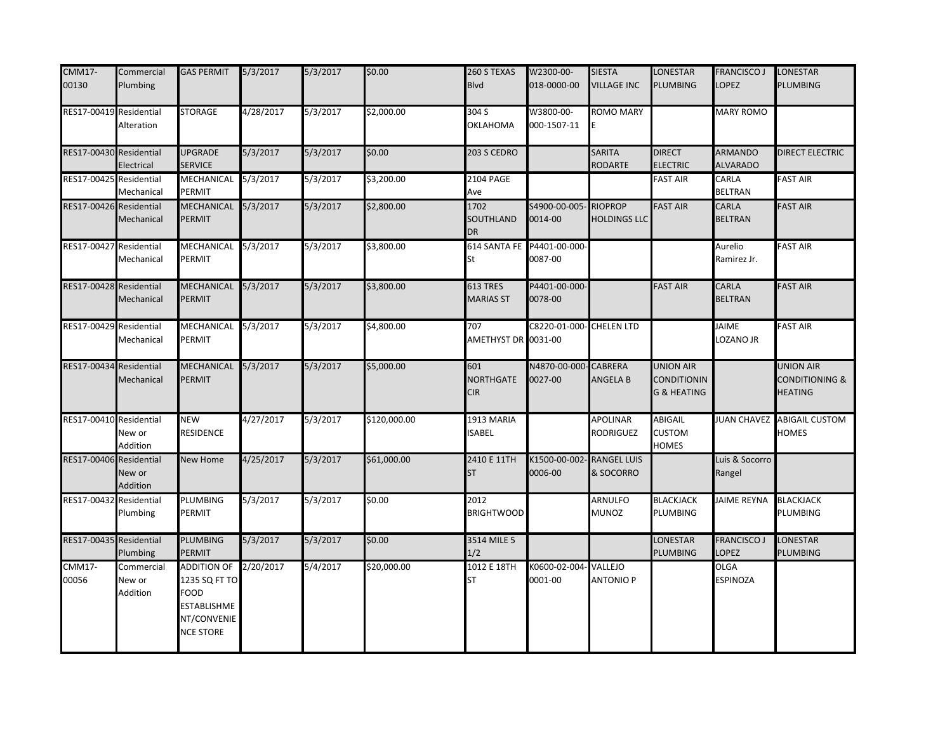| <b>CMM17-</b><br>00130  | Commercial<br>Plumbing           | <b>GAS PERMIT</b>                                                                                | 5/3/2017  | 5/3/2017 | \$0.00       | 260 S TEXAS<br><b>Blvd</b>            | W2300-00-<br>018-0000-00              | <b>SIESTA</b><br><b>VILLAGE INC</b>   | LONESTAR<br>PLUMBING                                             | <b>FRANCISCO J</b><br>LOPEZ       | LONESTAR<br><b>PLUMBING</b>                          |
|-------------------------|----------------------------------|--------------------------------------------------------------------------------------------------|-----------|----------|--------------|---------------------------------------|---------------------------------------|---------------------------------------|------------------------------------------------------------------|-----------------------------------|------------------------------------------------------|
| RES17-00419 Residential | Alteration                       | <b>STORAGE</b>                                                                                   | 4/28/2017 | 5/3/2017 | \$2,000.00   | 304 S<br>OKLAHOMA                     | W3800-00-<br>000-1507-11              | ROMO MARY<br>E                        |                                                                  | <b>MARY ROMO</b>                  |                                                      |
| RES17-00430 Residential | Electrical                       | <b>UPGRADE</b><br><b>SERVICE</b>                                                                 | 5/3/2017  | 5/3/2017 | \$0.00       | 203 S CEDRO                           |                                       | <b>SARITA</b><br><b>RODARTE</b>       | <b>DIRECT</b><br><b>ELECTRIC</b>                                 | <b>ARMANDO</b><br><b>ALVARADO</b> | DIRECT ELECTRIC                                      |
| RES17-00425 Residential | Mechanical                       | MECHANICAL<br>PERMIT                                                                             | 5/3/2017  | 5/3/2017 | \$3,200.00   | <b>2104 PAGE</b><br>Ave               |                                       |                                       | <b>FAST AIR</b>                                                  | CARLA<br><b>BELTRAN</b>           | <b>FAST AIR</b>                                      |
| RES17-00426 Residential | Mechanical                       | MECHANICAL 5/3/2017<br>PERMIT                                                                    |           | 5/3/2017 | \$2,800.00   | 1702<br>SOUTHLAND<br><b>DR</b>        | S4900-00-005-<br>0014-00              | <b>RIOPROP</b><br><b>HOLDINGS LLC</b> | <b>FAST AIR</b>                                                  | <b>CARLA</b><br><b>BELTRAN</b>    | <b>FAST AIR</b>                                      |
| RES17-00427 Residential | Mechanical                       | MECHANICAL<br>PERMIT                                                                             | 5/3/2017  | 5/3/2017 | \$3,800.00   | St                                    | 614 SANTA FE P4401-00-000-<br>0087-00 |                                       |                                                                  | Aurelio<br>Ramirez Jr.            | <b>FAST AIR</b>                                      |
| RES17-00428 Residential | Mechanical                       | MECHANICAL<br>PERMIT                                                                             | 5/3/2017  | 5/3/2017 | \$3,800.00   | 613 TRES<br><b>MARIAS ST</b>          | P4401-00-000-<br>0078-00              |                                       | <b>FAST AIR</b>                                                  | <b>CARLA</b><br><b>BELTRAN</b>    | <b>FAST AIR</b>                                      |
| RES17-00429 Residential | Mechanical                       | MECHANICAL 5/3/2017<br>PERMIT                                                                    |           | 5/3/2017 | \$4,800.00   | 707<br>AMETHYST DR 0031-00            | C8220-01-000-                         | <b>CHELEN LTD</b>                     |                                                                  | <b>JAIME</b><br>LOZANO JR         | <b>FAST AIR</b>                                      |
| RES17-00434 Residential | Mechanical                       | MECHANICAL<br>PERMIT                                                                             | 5/3/2017  | 5/3/2017 | \$5,000.00   | 601<br><b>NORTHGATE</b><br><b>CIR</b> | N4870-00-000<br>0027-00               | <b>CABRERA</b><br><b>ANGELA B</b>     | <b>UNION AIR</b><br><b>CONDITIONIN</b><br><b>G &amp; HEATING</b> |                                   | <b>UNION AIR</b><br>CONDITIONING &<br><b>HEATING</b> |
| RES17-00410 Residential | New or<br>Addition               | <b>NEW</b><br>RESIDENCE                                                                          | 4/27/2017 | 5/3/2017 | \$120,000.00 | 1913 MARIA<br><b>ISABEL</b>           |                                       | APOLINAR<br><b>RODRIGUEZ</b>          | ABIGAIL<br><b>CUSTOM</b><br><b>HOMES</b>                         |                                   | JUAN CHAVEZ ABIGAIL CUSTOM<br>HOMES                  |
| RES17-00406 Residential | New or<br>Addition               | New Home                                                                                         | 4/25/2017 | 5/3/2017 | \$61,000.00  | 2410 E 11TH<br><b>ST</b>              | K1500-00-002<br>0006-00               | <b>RANGEL LUIS</b><br>& SOCORRO       |                                                                  | Luis & Socorro<br>Rangel          |                                                      |
| RES17-00432 Residential | Plumbing                         | PLUMBING<br>PERMIT                                                                               | 5/3/2017  | 5/3/2017 | \$0.00       | 2012<br><b>BRIGHTWOOD</b>             |                                       | ARNULFO<br>MUNOZ                      | <b>BLACKJACK</b><br>PLUMBING                                     | <b>JAIME REYNA</b>                | <b>BLACKJACK</b><br>PLUMBING                         |
| RES17-00435 Residential | Plumbing                         | <b>PLUMBING</b><br>PERMIT                                                                        | 5/3/2017  | 5/3/2017 | \$0.00       | 3514 MILE 5<br>1/2                    |                                       |                                       | LONESTAR<br>PLUMBING                                             | <b>FRANCISCO J</b><br>LOPEZ       | LONESTAR<br>PLUMBING                                 |
| <b>CMM17-</b><br>00056  | Commercial<br>New or<br>Addition | ADDITION OF 2/20/2017<br>1235 SQ FT TO<br>FOOD<br>ESTABLISHME<br>NT/CONVENIE<br><b>NCE STORE</b> |           | 5/4/2017 | \$20,000.00  | 1012 E 18TH<br><b>ST</b>              | K0600-02-004<br>0001-00               | VALLEJO<br><b>ANTONIO P</b>           |                                                                  | <b>OLGA</b><br><b>ESPINOZA</b>    |                                                      |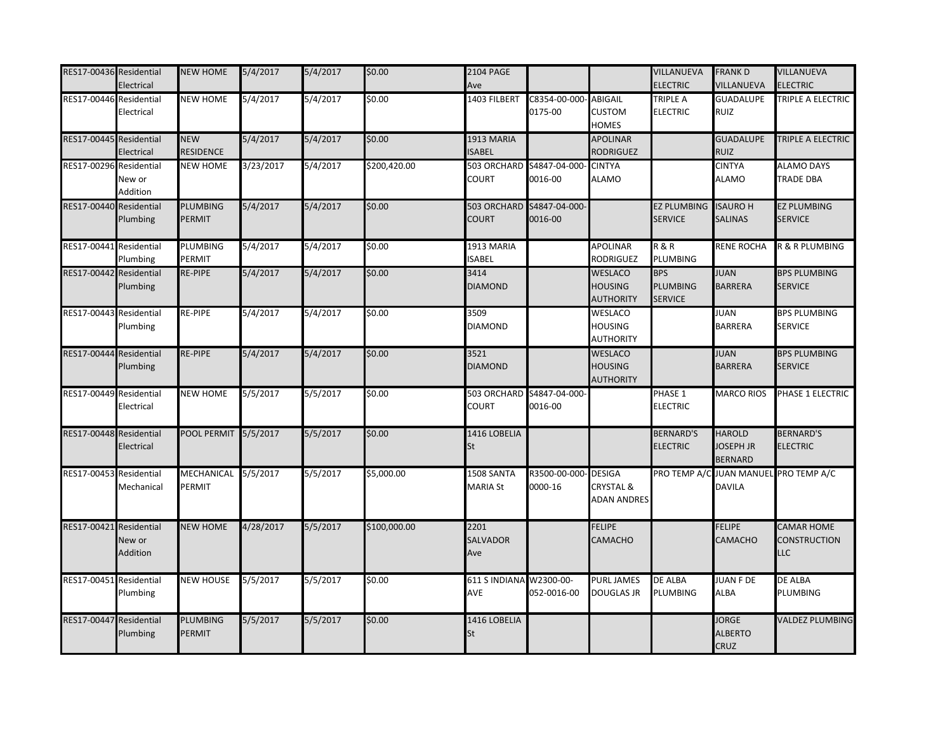| RES17-00436 Residential | Electrical                               | <b>NEW HOME</b>                  | 5/4/2017  | 5/4/2017 | \$0.00       | <b>2104 PAGE</b><br>Ave        |                          |                                                             | VILLANUEVA<br><b>ELECTRIC</b>                   | <b>FRANK D</b><br><b>VILLANUEVA</b>                    | VILLANUEVA<br><b>ELECTRIC</b>            |
|-------------------------|------------------------------------------|----------------------------------|-----------|----------|--------------|--------------------------------|--------------------------|-------------------------------------------------------------|-------------------------------------------------|--------------------------------------------------------|------------------------------------------|
| RES17-00446             | Residential<br>Electrical                | <b>NEW HOME</b>                  | 5/4/2017  | 5/4/2017 | \$0.00       | 1403 FILBERT                   | C8354-00-000<br>0175-00  | <b>ABIGAIL</b><br><b>CUSTOM</b><br><b>HOMES</b>             | TRIPLE A<br><b>ELECTRIC</b>                     | <b>GUADALUPE</b><br><b>RUIZ</b>                        | TRIPLE A ELECTRIC                        |
| RES17-00445             | Residential<br>Electrical                | <b>NEW</b><br><b>RESIDENCE</b>   | 5/4/2017  | 5/4/2017 | \$0.00       | 1913 MARIA<br>SABEL            |                          | <b>APOLINAR</b><br><b>RODRIGUEZ</b>                         |                                                 | <b>GUADALUPE</b><br><b>RUIZ</b>                        | TRIPLE A ELECTRIC                        |
| RES17-00296             | Residential<br>New or<br>Addition        | <b>NEW HOME</b>                  | 3/23/2017 | 5/4/2017 | \$200,420.00 | 503 ORCHARD<br>COURT           | S4847-04-000<br>0016-00  | <b>CINTYA</b><br><b>ALAMO</b>                               |                                                 | <b>CINTYA</b><br><b>ALAMO</b>                          | <b>ALAMO DAYS</b><br><b>TRADE DBA</b>    |
| RES17-00440             | Residential<br>Plumbing                  | PLUMBING<br><b>PERMIT</b>        | 5/4/2017  | 5/4/2017 | \$0.00       | 503 ORCHARD<br>COURT           | S4847-04-000-<br>0016-00 |                                                             | EZ PLUMBING ISAURO H<br><b>SERVICE</b>          | <b>SALINAS</b>                                         | <b>EZ PLUMBING</b><br><b>SERVICE</b>     |
| RES17-00441             | Residential<br>Plumbing                  | PLUMBING<br>PERMIT               | 5/4/2017  | 5/4/2017 | \$0.00       | 1913 MARIA<br><b>ISABEL</b>    |                          | <b>APOLINAR</b><br>RODRIGUEZ                                | <b>R&amp;R</b><br>PLUMBING                      | <b>RENE ROCHA</b>                                      | R & R PLUMBING                           |
| RES17-00442             | Residential<br>Plumbing                  | <b>RE-PIPE</b>                   | 5/4/2017  | 5/4/2017 | \$0.00       | 3414<br><b>DIAMOND</b>         |                          | <b>WESLACO</b><br><b>HOUSING</b><br><b>AUTHORITY</b>        | <b>BPS</b><br><b>PLUMBING</b><br><b>SERVICE</b> | <b>JUAN</b><br><b>BARRERA</b>                          | <b>BPS PLUMBING</b><br><b>SERVICE</b>    |
| RES17-00443             | Residential<br>Plumbing                  | RE-PIPE                          | 5/4/2017  | 5/4/2017 | \$0.00       | 3509<br><b>DIAMOND</b>         |                          | <b>WESLACO</b><br><b>HOUSING</b><br><b>AUTHORITY</b>        |                                                 | <b>JUAN</b><br><b>BARRERA</b>                          | <b>BPS PLUMBING</b><br>SERVICE           |
| RES17-00444 Residential | Plumbing                                 | <b>RE-PIPE</b>                   | 5/4/2017  | 5/4/2017 | \$0.00       | 3521<br><b>DIAMOND</b>         |                          | <b>WESLACO</b><br><b>HOUSING</b><br><b>AUTHORITY</b>        |                                                 | <b>JUAN</b><br><b>BARRERA</b>                          | <b>BPS PLUMBING</b><br><b>SERVICE</b>    |
| RES17-00449             | Residential<br>Electrical                | <b>NEW HOME</b>                  | 5/5/2017  | 5/5/2017 | \$0.00       | 503 ORCHARD<br>COURT           | S4847-04-000-<br>0016-00 |                                                             | PHASE 1<br><b>ELECTRIC</b>                      | <b>MARCO RIOS</b>                                      | PHASE 1 ELECTRIC                         |
| RES17-00448             | Residential<br>Electrical                | POOL PERMIT 5/5/2017             |           | 5/5/2017 | \$0.00       | 1416 LOBELIA<br><b>St</b>      |                          |                                                             | <b>BERNARD'S</b><br><b>ELECTRIC</b>             | <b>HAROLD</b><br><b>JOSEPH JR</b><br><b>BERNARD</b>    | <b>BERNARD'S</b><br><b>ELECTRIC</b>      |
| RES17-00453             | Residential<br>Mechanical                | MECHANICAL 5/5/2017<br>PERMIT    |           | 5/5/2017 | \$5,000.00   | 1508 SANTA<br><b>MARIA St</b>  | R3500-00-000<br>0000-16  | <b>DESIGA</b><br><b>CRYSTAL &amp;</b><br><b>ADAN ANDRES</b> |                                                 | PRO TEMP A/C JUAN MANUEL PRO TEMP A/C<br><b>DAVILA</b> |                                          |
| RES17-00421             | Residential<br>New or<br><b>Addition</b> | <b>NEW HOME</b>                  | 4/28/2017 | 5/5/2017 | \$100,000.00 | 2201<br><b>SALVADOR</b><br>Ave |                          | <b>FELIPE</b><br>CAMACHO                                    |                                                 | <b>FELIPE</b><br>CAMACHO                               | <b>CAMAR HOME</b><br>CONSTRUCTION<br>LLC |
| RES17-00451             | Residential<br>Plumbing                  | <b>NEW HOUSE</b>                 | 5/5/2017  | 5/5/2017 | \$0.00       | 611 S INDIANA W2300-00-<br>AVE | 052-0016-00              | <b>PURL JAMES</b><br><b>DOUGLAS JR</b>                      | <b>DE ALBA</b><br>PLUMBING                      | <b>JUAN F DE</b><br><b>ALBA</b>                        | <b>DE ALBA</b><br>PLUMBING               |
| RES17-00447             | Residential<br>Plumbing                  | <b>PLUMBING</b><br><b>PERMIT</b> | 5/5/2017  | 5/5/2017 | \$0.00       | 1416 LOBELIA<br>St             |                          |                                                             |                                                 | <b>JORGE</b><br><b>ALBERTO</b><br>CRUZ                 | <b>VALDEZ PLUMBING</b>                   |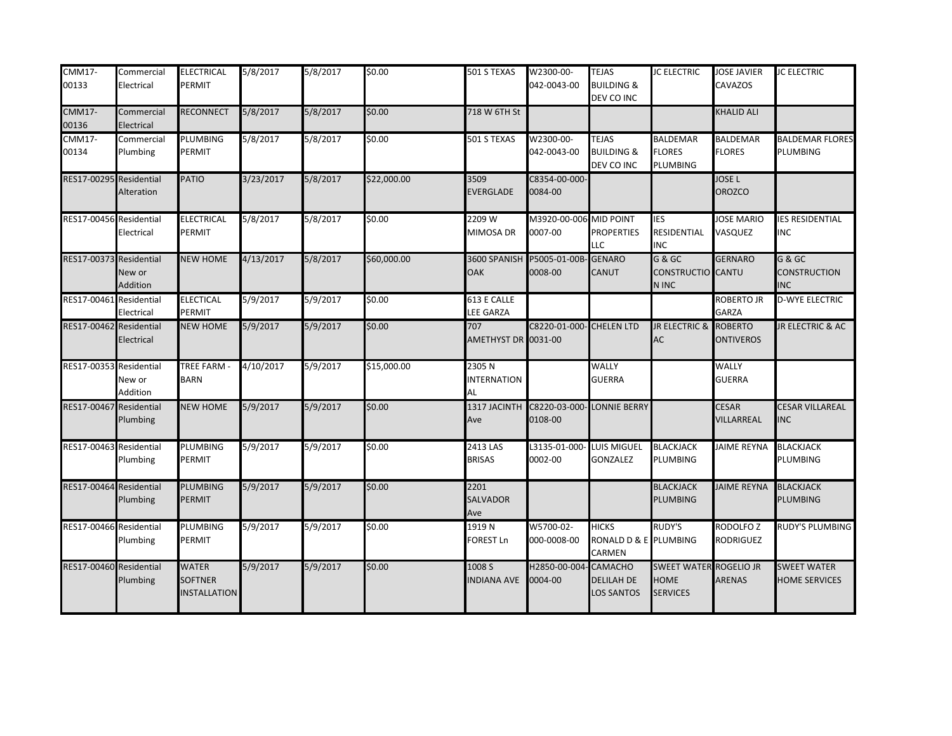| $CMM17-$<br>00133       | Commercial<br>Electrical | <b>ELECTRICAL</b><br>PERMIT                          | 5/8/2017  | 5/8/2017 | \$0.00      | 501 S TEXAS                       | W2300-00-<br>042-0043-00              | <b>TEJAS</b><br><b>BUILDING &amp;</b><br>DEV CO INC      | <b>IC ELECTRIC</b>                                              | <b>JOSE JAVIER</b><br><b>CAVAZOS</b> | <b>JC ELECTRIC</b>                          |
|-------------------------|--------------------------|------------------------------------------------------|-----------|----------|-------------|-----------------------------------|---------------------------------------|----------------------------------------------------------|-----------------------------------------------------------------|--------------------------------------|---------------------------------------------|
| <b>CMM17-</b><br>00136  | Commercial<br>Electrical | RECONNECT                                            | 5/8/2017  | 5/8/2017 | \$0.00      | 718 W 6TH St                      |                                       |                                                          |                                                                 | KHALID ALI                           |                                             |
| <b>CMM17-</b><br>00134  | Commercial<br>Plumbing   | <b>PLUMBING</b><br>PERMIT                            | 5/8/2017  | 5/8/2017 | \$0.00      | 501 S TEXAS                       | W2300-00-<br>042-0043-00              | <b>TEJAS</b><br><b>BUILDING &amp;</b><br>DEV CO INC      | <b>BALDEMAR</b><br><b>FLORES</b><br>PLUMBING                    | <b>BALDEMAR</b><br><b>FLORES</b>     | <b>BALDEMAR FLORES</b><br>PLUMBING          |
| RES17-00295 Residential | Alteration               | <b>PATIO</b>                                         | 3/23/2017 | 5/8/2017 | \$22,000.00 | 3509<br><b>EVERGLADE</b>          | C8354-00-000-<br>0084-00              |                                                          |                                                                 | <b>JOSE L</b><br><b>OROZCO</b>       |                                             |
| RES17-00456 Residential | Electrical               | <b>ELECTRICAL</b><br>PERMIT                          | 5/8/2017  | 5/8/2017 | \$0.00      | 2209 W<br>MIMOSA DR               | M3920-00-006<br>0007-00               | <b>MID POINT</b><br><b>PROPERTIES</b><br>LLC             | <b>IES</b><br>RESIDENTIAL<br><b>INC</b>                         | <b>JOSE MARIO</b><br>VASQUEZ         | <b>ES RESIDENTIAL</b><br>INC                |
| RES17-00373 Residential | New or<br>Addition       | <b>NEW HOME</b>                                      | 4/13/2017 | 5/8/2017 | \$60,000.00 | 3600 SPANISH<br><b>OAK</b>        | P5005-01-00B<br>0008-00               | <b>GENARO</b><br>CANUT                                   | $G & G$ C<br>CONSTRUCTIO CANTU<br>N INC                         | <b>GERNARO</b>                       | G & GC<br><b>CONSTRUCTION</b><br><b>INC</b> |
| RES17-00461 Residential | Electrical               | <b>ELECTICAL</b><br>PERMIT                           | 5/9/2017  | 5/9/2017 | \$0.00      | 613 E CALLE<br>LEE GARZA          |                                       |                                                          |                                                                 | ROBERTO JR<br><b>GARZA</b>           | <b>D-WYE ELECTRIC</b>                       |
| RES17-00462 Residential | Electrical               | <b>NEW HOME</b>                                      | 5/9/2017  | 5/9/2017 | \$0.00      | 707<br>AMETHYST DR 0031-00        | <b>C8220-01-000- CHELEN LTD</b>       |                                                          | JR ELECTRIC & ROBERTO<br>AC                                     | <b>ONTIVEROS</b>                     | JR ELECTRIC & AC                            |
| RES17-00353 Residential | New or<br>Addition       | <b>TREE FARM -</b><br><b>BARN</b>                    | 4/10/2017 | 5/9/2017 | \$15,000.00 | 2305N<br><b>INTERNATION</b><br>AL |                                       | <b>WALLY</b><br><b>GUERRA</b>                            |                                                                 | <b>WALLY</b><br><b>GUERRA</b>        |                                             |
| RES17-00467 Residential | Plumbing                 | <b>NEW HOME</b>                                      | 5/9/2017  | 5/9/2017 | \$0.00      | 1317 JACINTH<br>Ave               | C8220-03-000- LONNIE BERRY<br>0108-00 |                                                          |                                                                 | <b>CESAR</b><br>VILLARREAL           | <b>CESAR VILLAREAL</b><br><b>NC</b>         |
| RES17-00463 Residential | Plumbing                 | <b>PLUMBING</b><br>PERMIT                            | 5/9/2017  | 5/9/2017 | \$0.00      | 2413 LAS<br><b>BRISAS</b>         | L3135-01-000-<br>0002-00              | <b>LUIS MIGUEL</b><br><b>GONZALEZ</b>                    | <b>BLACKJACK</b><br>PLUMBING                                    | <b>JAIME REYNA</b>                   | <b>BLACKJACK</b><br><b>PLUMBING</b>         |
| RES17-00464 Residential | Plumbing                 | <b>PLUMBING</b><br>PERMIT                            | 5/9/2017  | 5/9/2017 | \$0.00      | 2201<br>SALVADOR<br>Ave           |                                       |                                                          | <b>BLACKJACK</b><br>PLUMBING                                    | <b>JAIME REYNA</b>                   | <b>BLACKJACK</b><br><b>PLUMBING</b>         |
| RES17-00466 Residential | Plumbing                 | <b>PLUMBING</b><br>PERMIT                            | 5/9/2017  | 5/9/2017 | \$0.00      | 1919 N<br><b>FOREST Ln</b>        | W5700-02-<br>000-0008-00              | <b>HICKS</b><br>RONALD D & E PLUMBING<br>CARMEN          | RUDY'S                                                          | <b>RODOLFOZ</b><br><b>RODRIGUEZ</b>  | <b>RUDY'S PLUMBING</b>                      |
| RES17-00460 Residential | Plumbing                 | <b>WATER</b><br><b>SOFTNER</b><br><b>NSTALLATION</b> | 5/9/2017  | 5/9/2017 | \$0.00      | 1008 S<br><b>NDIANA AVE</b>       | H2850-00-004<br>0004-00               | <b>CAMACHO</b><br><b>DELILAH DE</b><br><b>LOS SANTOS</b> | <b>SWEET WATER ROGELIO JR</b><br><b>HOME</b><br><b>SERVICES</b> | <b>ARENAS</b>                        | <b>SWEET WATER</b><br>HOME SERVICES         |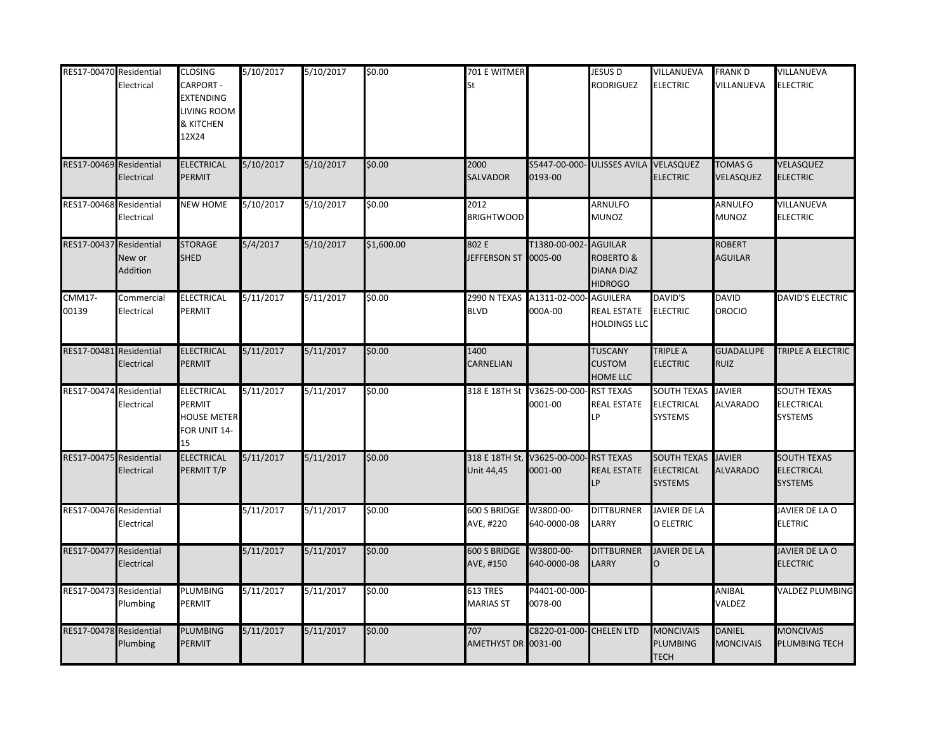| RES17-00470 Residential | Electrical                        | <b>CLOSING</b><br><b>CARPORT -</b><br><b>EXTENDING</b><br>LIVING ROOM<br>& KITCHEN<br>12X24 | 5/10/2017 | 5/10/2017 | \$0.00     | 701 E WITMER<br>St            |                                        | <b>JESUS D</b><br><b>RODRIGUEZ</b>                                     | VILLANUEVA<br><b>ELECTRIC</b>                             | FRANK D<br>VILLANUEVA            | VILLANUEVA<br><b>ELECTRIC</b>                             |
|-------------------------|-----------------------------------|---------------------------------------------------------------------------------------------|-----------|-----------|------------|-------------------------------|----------------------------------------|------------------------------------------------------------------------|-----------------------------------------------------------|----------------------------------|-----------------------------------------------------------|
| RES17-00469             | Residential<br>Electrical         | <b>ELECTRICAL</b><br>PERMIT                                                                 | 5/10/2017 | 5/10/2017 | \$0.00     | 2000<br><b>SALVADOR</b>       | S5447-00-000<br>0193-00                | <b>ULISSES AVILA</b>                                                   | VELASQUEZ<br><b>ELECTRIC</b>                              | <b>TOMAS G</b><br>VELASQUEZ      | VELASQUEZ<br><b>ELECTRIC</b>                              |
| RES17-00468             | Residential<br>Electrical         | <b>NEW HOME</b>                                                                             | 5/10/2017 | 5/10/2017 | \$0.00     | 2012<br><b>BRIGHTWOOD</b>     |                                        | ARNULFO<br>MUNOZ                                                       |                                                           | ARNULFO<br><b>MUNOZ</b>          | VILLANUEVA<br><b>ELECTRIC</b>                             |
| RES17-00437             | Residential<br>New or<br>Addition | <b>STORAGE</b><br><b>SHED</b>                                                               | 5/4/2017  | 5/10/2017 | \$1,600.00 | 802 E<br>JEFFERSON ST 0005-00 | T1380-00-002                           | <b>AGUILAR</b><br><b>ROBERTO &amp;</b><br>DIANA DIAZ<br><b>HIDROGO</b> |                                                           | ROBERT<br><b>AGUILAR</b>         |                                                           |
| <b>CMM17-</b><br>00139  | Commercial<br>Electrical          | <b>ELECTRICAL</b><br>PERMIT                                                                 | 5/11/2017 | 5/11/2017 | \$0.00     | <b>BLVD</b>                   | 2990 N TEXAS A1311-02-000<br>000A-00   | <b>AGUILERA</b><br>REAL ESTATE<br><b>HOLDINGS LLC</b>                  | <b>DAVID'S</b><br><b>ELECTRIC</b>                         | <b>DAVID</b><br>OROCIO           | DAVID'S ELECTRIC                                          |
| RES17-00481             | Residential<br>Electrical         | <b>ELECTRICAL</b><br>PERMIT                                                                 | 5/11/2017 | 5/11/2017 | \$0.00     | 1400<br>CARNELIAN             |                                        | <b>TUSCANY</b><br><b>CUSTOM</b><br>HOME LLC                            | <b>TRIPLE A</b><br><b>ELECTRIC</b>                        | <b>GUADALUPE</b><br><b>RUIZ</b>  | TRIPLE A ELECTRIC                                         |
| RES17-00474             | Residential<br>Electrical         | <b>ELECTRICAL</b><br>PERMIT<br><b>HOUSE METER</b><br>FOR UNIT 14-<br>15                     | 5/11/2017 | 5/11/2017 | \$0.00     | 318 E 18TH St                 | V3625-00-000<br>0001-00                | <b>RST TEXAS</b><br><b>REAL ESTATE</b><br>LP                           | <b>SOUTH TEXAS</b><br><b>ELECTRICAL</b><br><b>SYSTEMS</b> | <b>JAVIER</b><br><b>ALVARADO</b> | <b>SOUTH TEXAS</b><br><b>ELECTRICAL</b><br><b>SYSTEMS</b> |
| RES17-00475             | Residential<br>Electrical         | <b>ELECTRICAL</b><br>PERMIT T/P                                                             | 5/11/2017 | 5/11/2017 | \$0.00     | Unit 44,45                    | 318 E 18TH St, V3625-00-000<br>0001-00 | <b>RST TEXAS</b><br><b>REAL ESTATE</b><br>LP                           | <b>SOUTH TEXAS</b><br><b>ELECTRICAL</b><br><b>SYSTEMS</b> | <b>JAVIER</b><br>ALVARADO        | <b>SOUTH TEXAS</b><br><b>ELECTRICAL</b><br><b>SYSTEMS</b> |
| RES17-00476             | Residential<br>Electrical         |                                                                                             | 5/11/2017 | 5/11/2017 | \$0.00     | 600 S BRIDGE<br>AVE, #220     | W3800-00-<br>640-0000-08               | <b>DITTBURNER</b><br>LARRY                                             | <b>JAVIER DE LA</b><br>O ELETRIC                          |                                  | JAVIER DE LA O<br><b>ELETRIC</b>                          |
| RES17-00477             | Residential<br>Electrical         |                                                                                             | 5/11/2017 | 5/11/2017 | \$0.00     | 600 S BRIDGE<br>AVE, #150     | W3800-00-<br>640-0000-08               | <b>DITTBURNER</b><br>LARRY                                             | <b>JAVIER DE LA</b><br>O                                  |                                  | JAVIER DE LA O<br><b>ELECTRIC</b>                         |
| RES17-00473             | Residential<br><b>Plumbing</b>    | PLUMBING<br>PERMIT                                                                          | 5/11/2017 | 5/11/2017 | \$0.00     | 613 TRES<br><b>MARIAS ST</b>  | P4401-00-000-<br>0078-00               |                                                                        |                                                           | ANIBAL<br>VALDEZ                 | VALDEZ PLUMBING                                           |
| RES17-00478             | Residential<br>Plumbing           | <b>PLUMBING</b><br>PERMIT                                                                   | 5/11/2017 | 5/11/2017 | \$0.00     | 707<br>AMETHYST DR 0031-00    | C8220-01-000                           | <b>CHELEN LTD</b>                                                      | <b>MONCIVAIS</b><br><b>PLUMBING</b><br><b>TECH</b>        | DANIEL<br><b>MONCIVAIS</b>       | <b>MONCIVAIS</b><br>PLUMBING TECH                         |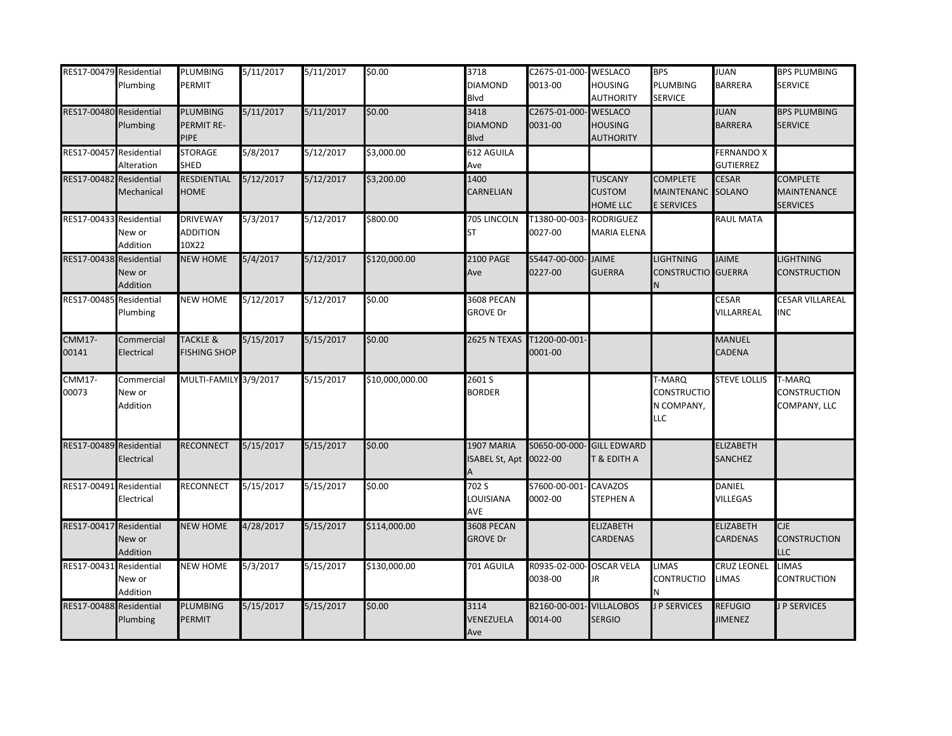| RES17-00479 Residential | Plumbing                         | PLUMBING<br>PERMIT                          | 5/11/2017 | 5/11/2017 | \$0.00          | 3718<br><b>DIAMOND</b><br>Blvd             | C2675-01-000-WESLACO<br>0013-00 | <b>HOUSING</b><br><b>AUTHORITY</b>                   | <b>BPS</b><br>PLUMBING<br><b>SERVICE</b>                  | JUAN<br><b>BARRERA</b>                | <b>BPS PLUMBING</b><br><b>SERVICE</b>                    |
|-------------------------|----------------------------------|---------------------------------------------|-----------|-----------|-----------------|--------------------------------------------|---------------------------------|------------------------------------------------------|-----------------------------------------------------------|---------------------------------------|----------------------------------------------------------|
| RES17-00480 Residential | Plumbing                         | <b>PLUMBING</b><br>PERMIT RE-<br>PIPE       | 5/11/2017 | 5/11/2017 | \$0.00          | 3418<br><b>DIAMOND</b><br><b>Blvd</b>      | C2675-01-000<br>0031-00         | <b>WESLACO</b><br><b>HOUSING</b><br><b>AUTHORITY</b> |                                                           | <b>JUAN</b><br><b>BARRERA</b>         | <b>BPS PLUMBING</b><br><b>SERVICE</b>                    |
| RES17-00457 Residential | Alteration                       | <b>STORAGE</b><br><b>SHED</b>               | 5/8/2017  | 5/12/2017 | \$3,000.00      | 612 AGUILA<br>Ave                          |                                 |                                                      |                                                           | <b>FERNANDO X</b><br><b>GUTIERREZ</b> |                                                          |
| RES17-00482 Residential | Mechanical                       | RESDIENTIAL<br><b>HOME</b>                  | 5/12/2017 | 5/12/2017 | \$3,200.00      | 1400<br>CARNELIAN                          |                                 | <b>TUSCANY</b><br><b>CUSTOM</b><br><b>HOME LLC</b>   | <b>COMPLETE</b><br><b>MAINTENANC</b><br><b>E SERVICES</b> | <b>CESAR</b><br><b>SOLANO</b>         | <b>COMPLETE</b><br><b>MAINTENANCE</b><br><b>SERVICES</b> |
| RES17-00433 Residential | New or<br>Addition               | <b>DRIVEWAY</b><br><b>ADDITION</b><br>10X22 | 5/3/2017  | 5/12/2017 | \$800.00        | 705 LINCOLN<br><b>ST</b>                   | T1380-00-003<br>0027-00         | <b>RODRIGUEZ</b><br><b>MARIA ELENA</b>               |                                                           | RAUL MATA                             |                                                          |
| RES17-00438 Residential | New or<br>Addition               | <b>NEW HOME</b>                             | 5/4/2017  | 5/12/2017 | \$120,000.00    | <b>2100 PAGE</b><br>Ave                    | S5447-00-000-<br>0227-00        | <b>JAIME</b><br><b>GUERRA</b>                        | <b>LIGHTNING</b><br>CONSTRUCTIO GUERRA                    | <b>JAIME</b>                          | <b>LIGHTNING</b><br><b>CONSTRUCTION</b>                  |
| RES17-00485 Residential | Plumbing                         | <b>NEW HOME</b>                             | 5/12/2017 | 5/12/2017 | \$0.00          | <b>3608 PECAN</b><br><b>GROVE Dr</b>       |                                 |                                                      |                                                           | <b>CESAR</b><br>VILLARREAL            | <b>CESAR VILLAREAL</b><br>INC                            |
| <b>CMM17-</b><br>00141  | Commercial<br>Electrical         | <b>TACKLE &amp;</b><br><b>FISHING SHOP</b>  | 5/15/2017 | 5/15/2017 | \$0.00          | 2625 N TEXAS                               | T1200-00-001-<br>0001-00        |                                                      |                                                           | <b>MANUEL</b><br><b>CADENA</b>        |                                                          |
| <b>CMM17-</b><br>00073  | Commercial<br>New or<br>Addition | MULTI-FAMILY 3/9/2017                       |           | 5/15/2017 | \$10,000,000.00 | 2601 S<br><b>BORDER</b>                    |                                 |                                                      | T-MARQ<br><b>CONSTRUCTIO</b><br>N COMPANY,<br>LLC         | <b>STEVE LOLLIS</b>                   | T-MARQ<br><b>CONSTRUCTION</b><br>COMPANY, LLC            |
| RES17-00489 Residential | Electrical                       | RECONNECT                                   | 5/15/2017 | 5/15/2017 | \$0.00          | <b>1907 MARIA</b><br>SABEL St, Apt 0022-00 | S0650-00-000                    | <b>GILL EDWARD</b><br>T & EDITH A                    |                                                           | ELIZABETH<br><b>SANCHEZ</b>           |                                                          |
| RES17-00491 Residential | Electrical                       | <b>RECONNECT</b>                            | 5/15/2017 | 5/15/2017 | \$0.00          | 702 S<br>LOUISIANA<br>AVE                  | S7600-00-001<br>0002-00         | <b>CAVAZOS</b><br><b>STEPHEN A</b>                   |                                                           | <b>DANIEL</b><br><b>VILLEGAS</b>      |                                                          |
| RES17-00417 Residential | New or<br>Addition               | <b>NEW HOME</b>                             | 4/28/2017 | 5/15/2017 | \$114,000.00    | <b>3608 PECAN</b><br><b>GROVE Dr</b>       |                                 | <b>ELIZABETH</b><br><b>CARDENAS</b>                  |                                                           | <b>ELIZABETH</b><br><b>CARDENAS</b>   | <b>CJE</b><br>CONSTRUCTION<br>LLC                        |
| RES17-00431 Residential | New or<br>Addition               | <b>NEW HOME</b>                             | 5/3/2017  | 5/15/2017 | \$130,000.00    | 701 AGUILA                                 | R0935-02-000-<br>0038-00        | <b>OSCAR VELA</b><br>JR                              | <b>LIMAS</b><br>CONTRUCTIO                                | CRUZ LEONEL<br>LIMAS                  | LIMAS<br><b>CONTRUCTION</b>                              |
| RES17-00488 Residential | Plumbing                         | <b>PLUMBING</b><br>PERMIT                   | 5/15/2017 | 5/15/2017 | \$0.00          | 3114<br>VENEZUELA<br>Ave                   | B2160-00-001<br>0014-00         | <b>VILLALOBOS</b><br><b>SERGIO</b>                   | <b>P SERVICES</b>                                         | <b>REFUGIO</b><br><b>JIMENEZ</b>      | J P SERVICES                                             |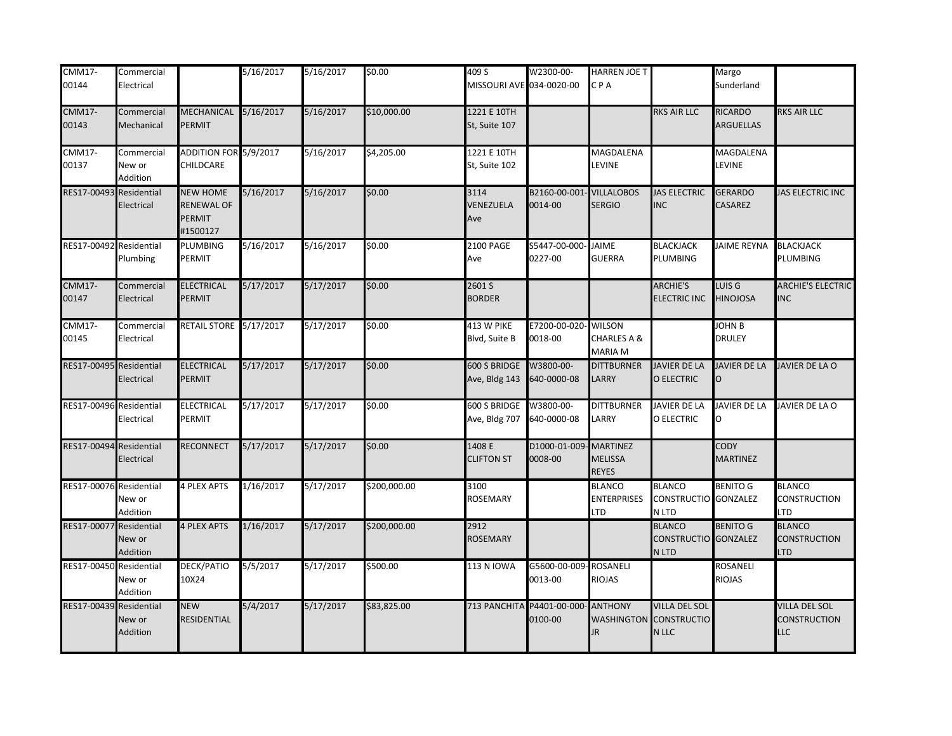| <b>CMM17-</b>           | Commercial                       |                                                     | 5/16/2017 | 5/16/2017 | \$0.00       | 409 S                                   | W2300-00-                            | HARREN JOE T                                      |                                                | Margo                                |                                                    |
|-------------------------|----------------------------------|-----------------------------------------------------|-----------|-----------|--------------|-----------------------------------------|--------------------------------------|---------------------------------------------------|------------------------------------------------|--------------------------------------|----------------------------------------------------|
| 00144                   | Electrical                       |                                                     |           |           |              | MISSOURI AVE 034-0020-00                |                                      | CPA                                               |                                                | Sunderland                           |                                                    |
| <b>CMM17-</b><br>00143  | Commercial<br>Mechanical         | MECHANICAL<br>PERMIT                                | 5/16/2017 | 5/16/2017 | \$10,000.00  | 1221 E 10TH<br>St, Suite 107            |                                      |                                                   | RKS AIR LLC                                    | <b>RICARDO</b><br><b>ARGUELLAS</b>   | <b>RKS AIR LLC</b>                                 |
| <b>CMM17-</b><br>00137  | Commercial<br>New or<br>Addition | ADDITION FOR 5/9/2017<br>CHILDCARE                  |           | 5/16/2017 | \$4,205.00   | 1221 E 10TH<br>St, Suite 102            |                                      | MAGDALENA<br>LEVINE                               |                                                | MAGDALENA<br><b>LEVINE</b>           |                                                    |
| RES17-00493             | Residential<br>Electrical        | <b>NEW HOME</b><br>RENEWAL OF<br>PERMIT<br>#1500127 | 5/16/2017 | 5/16/2017 | \$0.00       | 3114<br>VENEZUELA<br>Ave                | B2160-00-001<br>0014-00              | <b>VILLALOBOS</b><br><b>SERGIO</b>                | <b>JAS ELECTRIC</b><br><b>INC</b>              | <b>GERARDO</b><br><b>CASAREZ</b>     | JAS ELECTRIC INC                                   |
| RES17-00492 Residential | Plumbing                         | PLUMBING<br>PERMIT                                  | 5/16/2017 | 5/16/2017 | \$0.00       | 2100 PAGE<br>Ave                        | S5447-00-000-<br>0227-00             | <b>JAIME</b><br><b>GUERRA</b>                     | <b>BLACKJACK</b><br><b>PLUMBING</b>            | <b>JAIME REYNA</b>                   | <b>BLACKJACK</b><br>PLUMBING                       |
| <b>CMM17-</b><br>00147  | Commercial<br>Electrical         | <b>ELECTRICAL</b><br><b>PERMIT</b>                  | 5/17/2017 | 5/17/2017 | \$0.00       | 2601 S<br><b>BORDER</b>                 |                                      |                                                   | <b>ARCHIE'S</b><br><b>ELECTRIC INC</b>         | LUIS <sub>G</sub><br><b>HINOJOSA</b> | <b>ARCHIE'S ELECTRIC</b><br><b>INC</b>             |
| <b>CMM17-</b><br>00145  | Commercial<br>Electrical         | RETAIL STORE 5/17/2017                              |           | 5/17/2017 | \$0.00       | 413 W PIKE<br>Blvd, Suite B             | E7200-00-020<br>0018-00              | <b>WILSON</b><br>CHARLES A &<br><b>MARIA M</b>    |                                                | JOHN B<br><b>DRULEY</b>              |                                                    |
| RES17-00495 Residential | Electrical                       | <b>ELECTRICAL</b><br>PERMIT                         | 5/17/2017 | 5/17/2017 | \$0.00       | 600 S BRIDGE<br>Ave, Bldg 143           | W3800-00-<br>640-0000-08             | <b>DITTBURNER</b><br>LARRY                        | <b>JAVIER DE LA</b><br>O ELECTRIC              | <b>JAVIER DE LA</b><br>O             | JAVIER DE LA O                                     |
| RES17-00496 Residential | Electrical                       | ELECTRICAL<br>PERMIT                                | 5/17/2017 | 5/17/2017 | \$0.00       | 600 S BRIDGE W3800-00-<br>Ave, Bldg 707 | 640-0000-08                          | <b>DITTBURNER</b><br>LARRY                        | JAVIER DE LA<br>O ELECTRIC                     | <b>JAVIER DE LA</b><br>О             | JAVIER DE LA O                                     |
| RES17-00494 Residential | Electrical                       | RECONNECT                                           | 5/17/2017 | 5/17/2017 | \$0.00       | 1408 E<br><b>CLIFTON ST</b>             | D1000-01-009<br>0008-00              | <b>MARTINEZ</b><br><b>MELISSA</b><br><b>REYES</b> |                                                | <b>CODY</b><br><b>MARTINEZ</b>       |                                                    |
| RES17-00076 Residential | New or<br>Addition               | <b>4 PLEX APTS</b>                                  | 1/16/2017 | 5/17/2017 | \$200,000.00 | 3100<br><b>ROSEMARY</b>                 |                                      | <b>BLANCO</b><br><b>ENTERPRISES</b><br>LTD        | <b>BLANCO</b><br>CONSTRUCTIO GONZALEZ<br>N LTD | <b>BENITO G</b>                      | <b>BLANCO</b><br>CONSTRUCTION<br>LTD               |
| RES17-00077 Residential | New or<br>Addition               | <b>4 PLEX APTS</b>                                  | 1/16/2017 | 5/17/2017 | \$200,000.00 | 2912<br><b>ROSEMARY</b>                 |                                      |                                                   | <b>BLANCO</b><br>CONSTRUCTIO GONZALEZ<br>N LTD | <b>BENITO G</b>                      | <b>BLANCO</b><br>CONSTRUCTION<br>LTD               |
| RES17-00450 Residential | New or<br>Addition               | DECK/PATIO<br>10X24                                 | 5/5/2017  | 5/17/2017 | \$500.00     | <b>113 N IOWA</b>                       | G5600-00-009<br>0013-00              | <b>ROSANELI</b><br><b>RIOJAS</b>                  |                                                | ROSANELI<br><b>RIOJAS</b>            |                                                    |
| RES17-00439 Residential | New or<br>Addition               | <b>NEW</b><br>RESIDENTIAL                           | 5/4/2017  | 5/17/2017 | \$83,825.00  |                                         | 713 PANCHITA P4401-00-000<br>0100-00 | <b>ANTHONY</b><br><b>WASHINGTON</b><br>JR.        | VILLA DEL SOL<br><b>CONSTRUCTIO</b><br>N LLC   |                                      | <b>VILLA DEL SOL</b><br><b>CONSTRUCTION</b><br>LLC |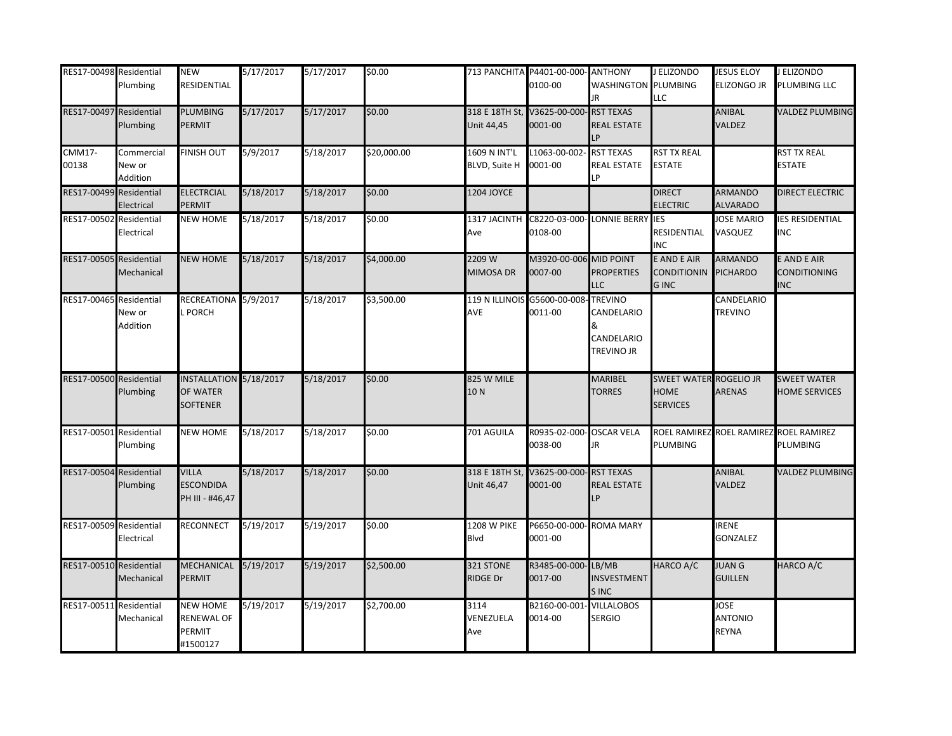| RES17-00498 Residential | Plumbing                         | <b>NEW</b><br>RESIDENTIAL                             | 5/17/2017 | 5/17/2017 | \$0.00      |                                      | 713 PANCHITA P4401-00-000- ANTHONY<br>0100-00 | <b>WASHINGTON PLUMBING</b>                                    | J ELIZONDO                                               | <b>JESUS ELOY</b><br><b>ELIZONGO JR</b>       | J ELIZONDO<br>PLUMBING LLC                         |
|-------------------------|----------------------------------|-------------------------------------------------------|-----------|-----------|-------------|--------------------------------------|-----------------------------------------------|---------------------------------------------------------------|----------------------------------------------------------|-----------------------------------------------|----------------------------------------------------|
|                         |                                  |                                                       |           |           |             |                                      |                                               | JR.                                                           | LLC                                                      |                                               |                                                    |
| RES17-00497 Residential | Plumbing                         | <b>PLUMBING</b><br>PERMIT                             | 5/17/2017 | 5/17/2017 | \$0.00      | Unit 44,45                           | 318 E 18TH St, V3625-00-000<br>0001-00        | <b>RST TEXAS</b><br><b>REAL ESTATE</b><br>P                   |                                                          | <b>ANIBAL</b><br><b>VALDEZ</b>                | <b>VALDEZ PLUMBING</b>                             |
| <b>CMM17-</b><br>00138  | Commercial<br>New or<br>Addition | <b>FINISH OUT</b>                                     | 5/9/2017  | 5/18/2017 | \$20,000.00 | 1609 N INT'L<br><b>BLVD, Suite H</b> | L1063-00-002<br>0001-00                       | <b>RST TEXAS</b><br><b>REAL ESTATE</b><br>LP                  | RST TX REAL<br><b>ESTATE</b>                             |                                               | <b>RST TX REAL</b><br><b>ESTATE</b>                |
| RES17-00499 Residential | Electrical                       | <b>ELECTRCIAL</b><br>PERMIT                           | 5/18/2017 | 5/18/2017 | \$0.00      | <b>1204 JOYCE</b>                    |                                               |                                                               | <b>DIRECT</b><br><b>ELECTRIC</b>                         | <b>ARMANDO</b><br><b>ALVARADO</b>             | <b>DIRECT ELECTRIC</b>                             |
| RES17-00502 Residential | Electrical                       | <b>NEW HOME</b>                                       | 5/18/2017 | 5/18/2017 | \$0.00      | Ave                                  | 1317 JACINTH C8220-03-000-<br>0108-00         | <b>LONNIE BERRY</b>                                           | <b>IES</b><br>RESIDENTIAL<br><b>INC</b>                  | <b>JOSE MARIO</b><br>VASQUEZ                  | <b>IES RESIDENTIAL</b><br>INC                      |
| RES17-00505 Residential | Mechanical                       | <b>NEW HOME</b>                                       | 5/18/2017 | 5/18/2017 | \$4,000.00  | 2209 W<br>MIMOSA DR                  | M3920-00-006<br>0007-00                       | <b>MID POINT</b><br><b>PROPERTIES</b><br>LLC                  | E AND E AIR<br><b>CONDITIONIN</b><br><b>GINC</b>         | <b>ARMANDO</b><br><b>PICHARDO</b>             | E AND E AIR<br>CONDITIONING<br><b>INC</b>          |
| RES17-00465 Residential | New or<br>Addition               | RECREATIONA 5/9/2017<br>PORCH                         |           | 5/18/2017 | \$3,500.00  | AVE                                  | 119 N ILLINOIS G5600-00-008-<br>0011-00       | <b>TREVINO</b><br>CANDELARIO<br>&<br>CANDELARIO<br>TREVINO JR |                                                          | CANDELARIO<br><b>TREVINO</b>                  |                                                    |
| RES17-00500 Residential | Plumbing                         | INSTALLATION 5/18/2017<br>OF WATER<br><b>SOFTENER</b> |           | 5/18/2017 | \$0.00      | 825 W MILE<br>10N                    |                                               | MARIBEL<br><b>TORRES</b>                                      | SWEET WATER ROGELIO JR<br><b>HOME</b><br><b>SERVICES</b> | <b>ARENAS</b>                                 | <b>SWEET WATER</b><br><b>HOME SERVICES</b>         |
| RES17-00501 Residential | Plumbing                         | <b>NEW HOME</b>                                       | 5/18/2017 | 5/18/2017 | \$0.00      | 701 AGUILA                           | R0935-02-000-<br>0038-00                      | <b>OSCAR VELA</b><br>JR.                                      | <b>PLUMBING</b>                                          |                                               | ROEL RAMIREZ ROEL RAMIREZ ROEL RAMIREZ<br>PLUMBING |
| RES17-00504 Residential | Plumbing                         | <b>VILLA</b><br><b>ESCONDIDA</b><br>PH III - #46,47   | 5/18/2017 | 5/18/2017 | \$0.00      | Unit 46,47                           | 318 E 18TH St, V3625-00-000<br>0001-00        | <b>RST TEXAS</b><br>REAL ESTATE<br>IP.                        |                                                          | <b>ANIBAL</b><br><b>VALDEZ</b>                | <b>VALDEZ PLUMBING</b>                             |
| RES17-00509 Residential | Electrical                       | <b>RECONNECT</b>                                      | 5/19/2017 | 5/19/2017 | \$0.00      | <b>1208 W PIKE</b><br>Blvd           | P6650-00-000<br>0001-00                       | <b>ROMA MARY</b>                                              |                                                          | <b>IRENE</b><br><b>GONZALEZ</b>               |                                                    |
| RES17-00510 Residential | Mechanical                       | MECHANICAL 5/19/2017<br>PERMIT                        |           | 5/19/2017 | \$2,500.00  | 321 STONE<br>RIDGE Dr                | R3485-00-000<br>0017-00                       | LB/MB<br><b>INSVESTMENT</b><br>S INC                          | HARCO A/C                                                | <b>JUAN G</b><br><b>GUILLEN</b>               | HARCO A/C                                          |
| RES17-00511 Residential | Mechanical                       | <b>NEW HOME</b><br>RENEWAL OF<br>PERMIT<br>#1500127   | 5/19/2017 | 5/19/2017 | \$2,700.00  | 3114<br>VENEZUELA<br>Ave             | B2160-00-001<br>0014-00                       | <b>VILLALOBOS</b><br><b>SERGIO</b>                            |                                                          | <b>JOSE</b><br><b>ANTONIO</b><br><b>REYNA</b> |                                                    |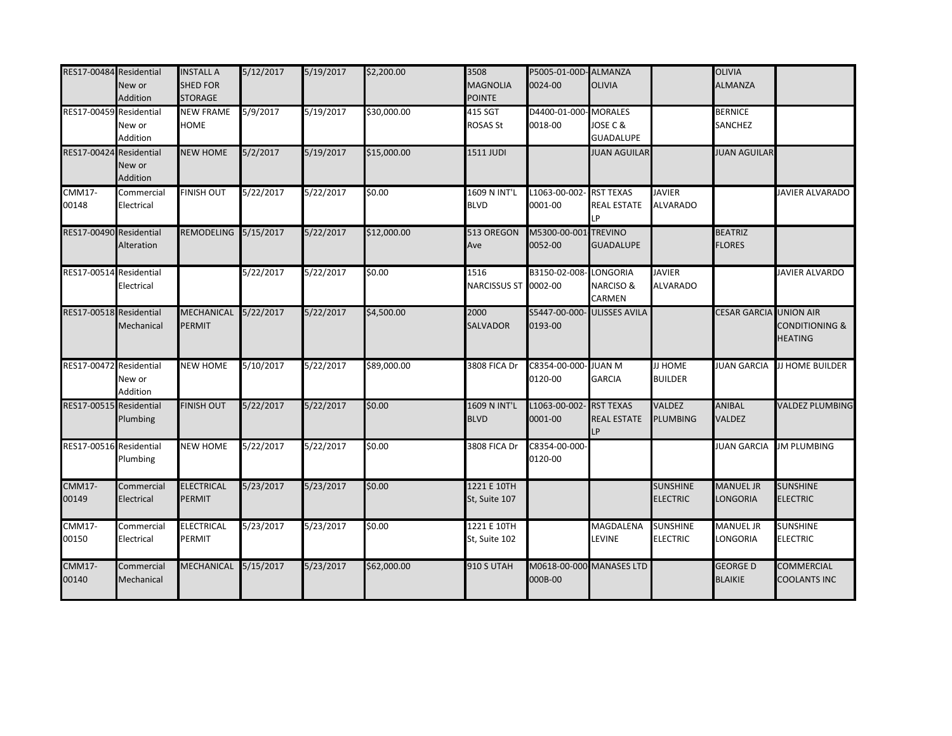| RES17-00484 Residential | New or<br>Addition                | <b>INSTALL A</b><br><b>SHED FOR</b><br><b>STORAGE</b> | 5/12/2017 | 5/19/2017 | \$2,200.00  | 3508<br><b>MAGNOLIA</b><br><b>POINTE</b> | P5005-01-00D-ALMANZA<br>0024-00 | <b>OLIVIA</b>                                     |                                    | <b>OLIVIA</b><br><b>ALMANZA</b>     |                                             |
|-------------------------|-----------------------------------|-------------------------------------------------------|-----------|-----------|-------------|------------------------------------------|---------------------------------|---------------------------------------------------|------------------------------------|-------------------------------------|---------------------------------------------|
| RES17-00459 Residential | New or<br>Addition                | <b>NEW FRAME</b><br><b>HOME</b>                       | 5/9/2017  | 5/19/2017 | \$30,000.00 | 415 SGT<br><b>ROSAS St</b>               | D4400-01-000<br>0018-00         | <b>MORALES</b><br>JOSE C &<br><b>GUADALUPE</b>    |                                    | <b>BERNICE</b><br><b>SANCHEZ</b>    |                                             |
| RES17-00424             | Residential<br>New or<br>Addition | <b>NEW HOME</b>                                       | 5/2/2017  | 5/19/2017 | \$15,000.00 | 1511 JUDI                                |                                 | <b>JUAN AGUILAR</b>                               |                                    | <b>JUAN AGUILAR</b>                 |                                             |
| <b>CMM17-</b><br>00148  | Commercial<br>Electrical          | <b>FINISH OUT</b>                                     | 5/22/2017 | 5/22/2017 | \$0.00      | 1609 N INT'L<br><b>BLVD</b>              | L1063-00-002-<br>0001-00        | <b>RST TEXAS</b><br><b>REAL ESTATE</b><br>LP      | <b>JAVIER</b><br><b>ALVARADO</b>   |                                     | JAVIER ALVARADO                             |
| RES17-00490 Residential | Alteration                        | <b>REMODELING</b>                                     | 5/15/2017 | 5/22/2017 | \$12,000.00 | 513 OREGON<br>Ave                        | M5300-00-001<br>0052-00         | <b>TREVINO</b><br><b>GUADALUPE</b>                |                                    | <b>BEATRIZ</b><br><b>FLORES</b>     |                                             |
| RES17-00514 Residential | Electrical                        |                                                       | 5/22/2017 | 5/22/2017 | \$0.00      | 1516<br>NARCISSUS ST 0002-00             | B3150-02-008                    | <b>LONGORIA</b><br><b>NARCISO &amp;</b><br>CARMEN | <b>JAVIER</b><br><b>ALVARADO</b>   |                                     | JAVIER ALVARDO                              |
| RES17-00518 Residential | Mechanical                        | <b>MECHANICAL</b><br><b>PERMIT</b>                    | 5/22/2017 | 5/22/2017 | \$4,500.00  | 2000<br><b>SALVADOR</b>                  | S5447-00-000<br>0193-00         | <b>ULISSES AVILA</b>                              |                                    | <b>CESAR GARCIA UNION AIR</b>       | <b>CONDITIONING &amp;</b><br><b>HEATING</b> |
| RES17-00472             | Residential<br>New or<br>Addition | <b>NEW HOME</b>                                       | 5/10/2017 | 5/22/2017 | \$89,000.00 | 3808 FICA Dr                             | C8354-00-000-<br>0120-00        | <b>JUAN M</b><br>GARCIA                           | <b>JI HOME</b><br><b>BUILDER</b>   | <b>JUAN GARCIA</b>                  | <b>JJ HOME BUILDER</b>                      |
| RES17-00515 Residential | Plumbing                          | <b>FINISH OUT</b>                                     | 5/22/2017 | 5/22/2017 | \$0.00      | 1609 N INT'L<br><b>BLVD</b>              | L1063-00-002-<br>0001-00        | <b>RST TEXAS</b><br><b>REAL ESTATE</b><br>LP      | <b>VALDEZ</b><br>PLUMBING          | <b>ANIBAL</b><br><b>VALDEZ</b>      | <b>VALDEZ PLUMBING</b>                      |
| RES17-00516 Residential | Plumbing                          | <b>NEW HOME</b>                                       | 5/22/2017 | 5/22/2017 | \$0.00      | 3808 FICA Dr                             | C8354-00-000-<br>0120-00        |                                                   |                                    | <b>JUAN GARCIA</b>                  | <b>JM PLUMBING</b>                          |
| <b>CMM17-</b><br>00149  | Commercial<br>Electrical          | <b>ELECTRICAL</b><br><b>PERMIT</b>                    | 5/23/2017 | 5/23/2017 | \$0.00      | 1221 E 10TH<br>St, Suite 107             |                                 |                                                   | <b>SUNSHINE</b><br><b>ELECTRIC</b> | <b>MANUEL JR</b><br><b>LONGORIA</b> | <b>SUNSHINE</b><br><b>ELECTRIC</b>          |
| <b>CMM17-</b><br>00150  | Commercial<br>Electrical          | <b>ELECTRICAL</b><br><b>PERMIT</b>                    | 5/23/2017 | 5/23/2017 | \$0.00      | 1221 E 10TH<br>St, Suite 102             |                                 | MAGDALENA<br>LEVINE                               | <b>SUNSHINE</b><br><b>ELECTRIC</b> | <b>MANUEL JR</b><br>LONGORIA        | <b>SUNSHINE</b><br>ELECTRIC                 |
| <b>CMM17-</b><br>00140  | Commercial<br>Mechanical          | <b>MECHANICAL</b>                                     | 5/15/2017 | 5/23/2017 | \$62,000.00 | <b>910 S UTAH</b>                        | M0618-00-000<br>000B-00         | <b>MANASES LTD</b>                                |                                    | <b>GEORGE D</b><br><b>BLAIKIE</b>   | COMMERCIAL<br>COOLANTS INC                  |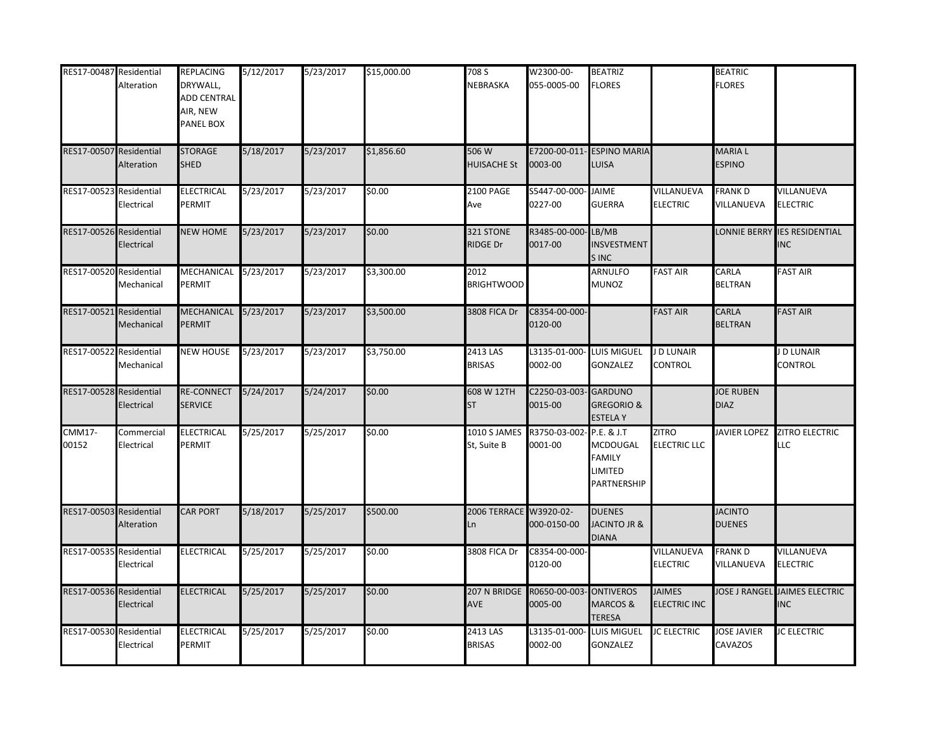| RES17-00487 Residential | Alteration                | <b>REPLACING</b><br>DRYWALL,<br><b>ADD CENTRAL</b><br>AIR, NEW<br>PANEL BOX | 5/12/2017 | 5/23/2017 | \$15,000.00 | 708 S<br>NEBRASKA                | W2300-00-<br>055-0005-00 | <b>BEATRIZ</b><br><b>FLORES</b>                            |                                      | <b>BEATRIC</b><br><b>FLORES</b> |                                            |
|-------------------------|---------------------------|-----------------------------------------------------------------------------|-----------|-----------|-------------|----------------------------------|--------------------------|------------------------------------------------------------|--------------------------------------|---------------------------------|--------------------------------------------|
| RES17-00507 Residential | Alteration                | <b>STORAGE</b><br><b>SHED</b>                                               | 5/18/2017 | 5/23/2017 | \$1,856.60  | 506 W<br><b>HUISACHE St</b>      | 0003-00                  | E7200-00-011- ESPINO MARIA<br>LUISA                        |                                      | MARIA L<br><b>ESPINO</b>        |                                            |
| RES17-00523 Residential | Electrical                | <b>ELECTRICAL</b><br>PERMIT                                                 | 5/23/2017 | 5/23/2017 | \$0.00      | 2100 PAGE<br>Ave                 | S5447-00-000-<br>0227-00 | <b>JAIME</b><br><b>GUERRA</b>                              | VILLANUEVA<br><b>ELECTRIC</b>        | <b>FRANKD</b><br>VILLANUEVA     | <b>VILLANUEVA</b><br><b>ELECTRIC</b>       |
| RES17-00526 Residential | Electrical                | <b>NEW HOME</b>                                                             | 5/23/2017 | 5/23/2017 | \$0.00      | 321 STONE<br><b>RIDGE Dr</b>     | R3485-00-000<br>0017-00  | LB/MB<br>INSVESTMENT<br>S INC                              |                                      | LONNIE BERRY                    | <b>IES RESIDENTIAL</b><br><b>INC</b>       |
| RES17-00520             | Residential<br>Mechanical | MECHANICAL 5/23/2017<br>PERMIT                                              |           | 5/23/2017 | \$3,300.00  | 2012<br><b>BRIGHTWOOD</b>        |                          | ARNULFO<br>MUNOZ                                           | <b>FAST AIR</b>                      | CARLA<br><b>BELTRAN</b>         | <b>FAST AIR</b>                            |
| RES17-00521             | Residential<br>Mechanical | MECHANICAL 5/23/2017<br>PERMIT                                              |           | 5/23/2017 | \$3,500.00  | 3808 FICA Dr                     | C8354-00-000-<br>0120-00 |                                                            | <b>FAST AIR</b>                      | CARLA<br><b>BELTRAN</b>         | <b>FAST AIR</b>                            |
| RES17-00522             | Residential<br>Mechanical | <b>NEW HOUSE</b>                                                            | 5/23/2017 | 5/23/2017 | \$3,750.00  | 2413 LAS<br><b>BRISAS</b>        | L3135-01-000-<br>0002-00 | <b>LUIS MIGUEL</b><br><b>GONZALEZ</b>                      | J D LUNAIR<br><b>CONTROL</b>         |                                 | J D LUNAIR<br>CONTROL                      |
| RES17-00528 Residential | Electrical                | <b>RE-CONNECT</b><br><b>SERVICE</b>                                         | 5/24/2017 | 5/24/2017 | \$0.00      | 608 W 12TH<br><b>ST</b>          | C2250-03-003<br>0015-00  | <b>GARDUNO</b><br><b>GREGORIO &amp;</b><br><b>ESTELAY</b>  |                                      | <b>JOE RUBEN</b><br><b>DIAZ</b> |                                            |
| <b>CMM17-</b><br>00152  | Commercial<br>Electrical  | <b>ELECTRICAL</b><br>PERMIT                                                 | 5/25/2017 | 5/25/2017 | \$0.00      | 1010 S JAMES<br>St, Suite B      | R3750-03-002-<br>0001-00 | P.E. & J.T<br>MCDOUGAL<br>FAMILY<br>LIMITED<br>PARTNERSHIP | <b>ZITRO</b><br><b>ELECTRIC LLC</b>  | JAVIER LOPEZ                    | ZITRO ELECTRIC<br>LLC                      |
| RES17-00503             | Residential<br>Alteration | <b>CAR PORT</b>                                                             | 5/18/2017 | 5/25/2017 | \$500.00    | 2006 TERRACE W3920-02-<br>Ln     | 000-0150-00              | <b>DUENES</b><br>JACINTO JR &<br><b>DIANA</b>              |                                      | <b>JACINTO</b><br><b>DUENES</b> |                                            |
| RES17-00535             | Residential<br>Electrical | ELECTRICAL                                                                  | 5/25/2017 | 5/25/2017 | \$0.00      | 3808 FICA Dr                     | C8354-00-000-<br>0120-00 |                                                            | VILLANUEVA<br><b>ELECTRIC</b>        | <b>FRANK D</b><br>VILLANUEVA    | VILLANUEVA<br><b>ELECTRIC</b>              |
| RES17-00536             | Residential<br>Electrical | <b>ELECTRICAL</b>                                                           | 5/25/2017 | 5/25/2017 | \$0.00      | 207 N BRIDGE R0650-00-003<br>AVE | 0005-00                  | <b>ONTIVEROS</b><br>MARCOS &<br><b>TERESA</b>              | <b>JAIMES</b><br><b>ELECTRIC INC</b> |                                 | OSE J RANGEL JAIMES ELECTRIC<br><b>INC</b> |
| RES17-00530             | Residential<br>Electrical | <b>ELECTRICAL</b><br>PERMIT                                                 | 5/25/2017 | 5/25/2017 | \$0.00      | 2413 LAS<br><b>BRISAS</b>        | L3135-01-000<br>0002-00  | LUIS MIGUEL<br>GONZALEZ                                    | <b>JC ELECTRIC</b>                   | JOSE JAVIER<br>CAVAZOS          | <b>JC ELECTRIC</b>                         |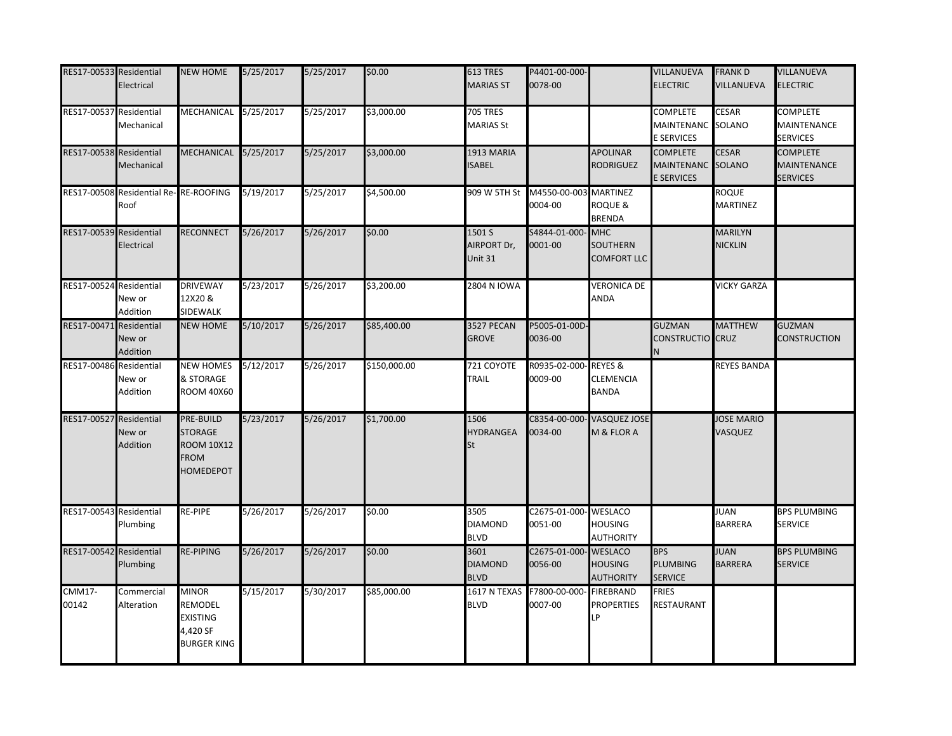| RES17-00533 Residential | Electrical                                    | <b>NEW HOME</b>                                                                     | 5/25/2017 | 5/25/2017 | \$0.00       | 613 TRES<br><b>MARIAS ST</b>             | P4401-00-000-<br>0078-00 |                                                       | VILLANUEVA<br><b>ELECTRIC</b>                             | <b>FRANKD</b><br><b>VILLANUEVA</b> | VILLANUEVA<br><b>ELECTRIC</b>                            |
|-------------------------|-----------------------------------------------|-------------------------------------------------------------------------------------|-----------|-----------|--------------|------------------------------------------|--------------------------|-------------------------------------------------------|-----------------------------------------------------------|------------------------------------|----------------------------------------------------------|
| RES17-00537 Residential | Mechanical                                    | MECHANICAL 5/25/2017                                                                |           | 5/25/2017 | \$3,000.00   | <b>705 TRES</b><br><b>MARIAS St</b>      |                          |                                                       | <b>COMPLETE</b><br>MAINTENANC SOLANO<br>E SERVICES        | <b>CESAR</b>                       | <b>COMPLETE</b><br>MAINTENANCE<br><b>SERVICES</b>        |
| RES17-00538 Residential | Mechanical                                    | MECHANICAL 5/25/2017                                                                |           | 5/25/2017 | \$3,000.00   | 1913 MARIA<br>SABEL                      |                          | <b>APOLINAR</b><br>RODRIGUEZ                          | <b>COMPLETE</b><br>MAINTENANC SOLANO<br><b>E SERVICES</b> | <b>CESAR</b>                       | <b>COMPLETE</b><br><b>MAINTENANCE</b><br><b>SERVICES</b> |
|                         | RES17-00508 Residential Re-RE-ROOFING<br>Roof |                                                                                     | 5/19/2017 | 5/25/2017 | \$4,500.00   |                                          | 0004-00                  | <b>MARTINEZ</b><br>ROQUE &<br><b>BRENDA</b>           |                                                           | ROQUE<br><b>MARTINEZ</b>           |                                                          |
| RES17-00539 Residential | Electrical                                    | <b>RECONNECT</b>                                                                    | 5/26/2017 | 5/26/2017 | \$0.00       | 1501 S<br>AIRPORT Dr,<br>Unit 31         | S4844-01-000-<br>0001-00 | <b>MHC</b><br><b>SOUTHERN</b><br><b>COMFORT LLC</b>   |                                                           | <b>MARILYN</b><br><b>NICKLIN</b>   |                                                          |
| RES17-00524 Residential | New or<br>Addition                            | <b>DRIVEWAY</b><br>12X20 &<br>SIDEWALK                                              | 5/23/2017 | 5/26/2017 | \$3,200.00   | 2804 N IOWA                              |                          | <b>VERONICA DE</b><br>ANDA                            |                                                           | <b>VICKY GARZA</b>                 |                                                          |
| RES17-00471             | Residential<br>New or<br>Addition             | <b>NEW HOME</b>                                                                     | 5/10/2017 | 5/26/2017 | \$85,400.00  | 3527 PECAN<br><b>GROVE</b>               | P5005-01-00D-<br>0036-00 |                                                       | <b>GUZMAN</b><br>CONSTRUCTIO CRUZ                         | <b>MATTHEW</b>                     | <b>GUZMAN</b><br>CONSTRUCTION                            |
| RES17-00486 Residential | New or<br>Addition                            | <b>NEW HOMES</b><br>& STORAGE<br><b>ROOM 40X60</b>                                  | 5/12/2017 | 5/26/2017 | \$150,000.00 | 721 COYOTE<br><b>TRAIL</b>               | R0935-02-000<br>0009-00  | <b>REYES&amp;</b><br><b>CLEMENCIA</b><br><b>BANDA</b> |                                                           | <b>REYES BANDA</b>                 |                                                          |
| RES17-00527             | Residential<br>New or<br>Addition             | PRE-BUILD<br><b>STORAGE</b><br><b>ROOM 10X12</b><br><b>FROM</b><br><b>HOMEDEPOT</b> | 5/23/2017 | 5/26/2017 | \$1,700.00   | 1506<br><b>HYDRANGEA</b><br>St           | C8354-00-000<br>0034-00  | <b>VASQUEZ JOSE</b><br>M & FLOR A                     |                                                           | <b>JOSE MARIO</b><br>VASQUEZ       |                                                          |
| RES17-00543 Residential | Plumbing                                      | RE-PIPE                                                                             | 5/26/2017 | 5/26/2017 | \$0.00       | 3505<br><b>DIAMOND</b><br><b>BLVD</b>    | C2675-01-000-<br>0051-00 | <b>WESLACO</b><br><b>HOUSING</b><br><b>AUTHORITY</b>  |                                                           | <b>JUAN</b><br><b>BARRERA</b>      | <b>BPS PLUMBING</b><br>SERVICE                           |
| RES17-00542 Residential | Plumbing                                      | <b>RE-PIPING</b>                                                                    | 5/26/2017 | 5/26/2017 | \$0.00       | 3601<br><b>DIAMOND</b><br><b>BLVD</b>    | C2675-01-000-<br>0056-00 | <b>WESLACO</b><br><b>HOUSING</b><br><b>AUTHORITY</b>  | <b>BPS</b><br><b>PLUMBING</b><br><b>SERVICE</b>           | <b>JUAN</b><br><b>BARRERA</b>      | <b>BPS PLUMBING</b><br><b>SERVICE</b>                    |
| <b>CMM17-</b><br>00142  | Commercial<br>Alteration                      | <b>MINOR</b><br><b>REMODEL</b><br><b>EXISTING</b><br>4,420 SF<br><b>BURGER KING</b> | 5/15/2017 | 5/30/2017 | \$85,000.00  | 1617 N TEXAS F7800-00-000<br><b>BLVD</b> | 0007-00                  | <b>FIREBRAND</b><br><b>PROPERTIES</b><br>LP           | <b>FRIES</b><br>RESTAURANT                                |                                    |                                                          |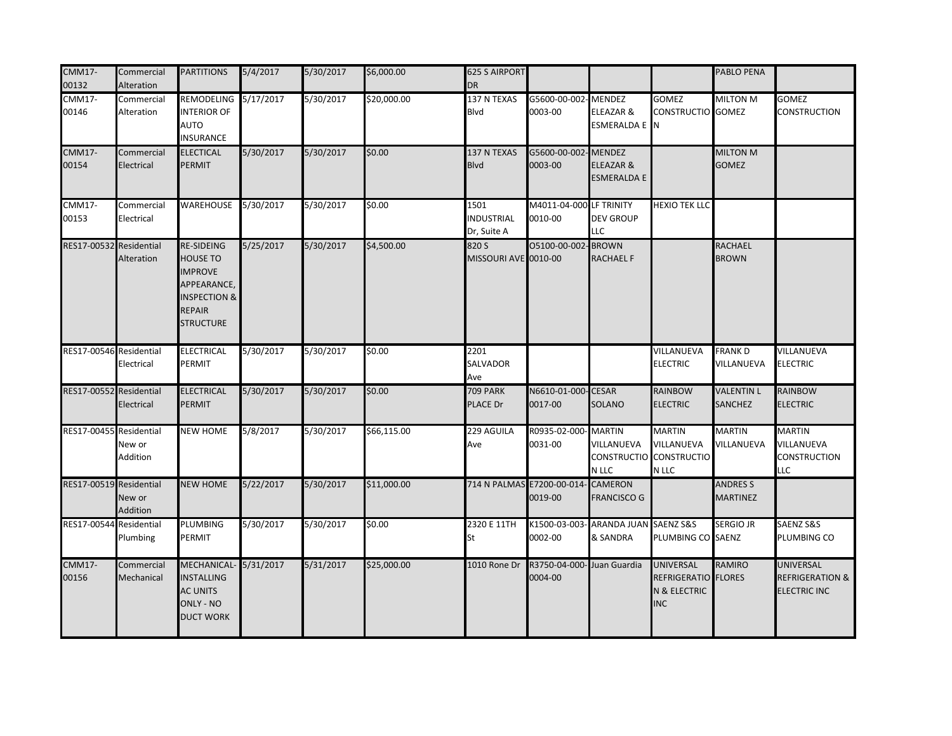| <b>CMM17-</b><br>00132  | Commercial<br>Alteration | <b>PARTITIONS</b>                                                                                                                     | 5/4/2017  | 5/30/2017 | \$6,000.00  | <b>625 S AIRPORT</b><br><b>DR</b>        |                                               |                                                 |                                                                       | PABLO PENA                         |                                                                       |
|-------------------------|--------------------------|---------------------------------------------------------------------------------------------------------------------------------------|-----------|-----------|-------------|------------------------------------------|-----------------------------------------------|-------------------------------------------------|-----------------------------------------------------------------------|------------------------------------|-----------------------------------------------------------------------|
| <b>CMM17-</b><br>00146  | Commercial<br>Alteration | <b>REMODELING</b><br><b>INTERIOR OF</b><br><b>AUTO</b><br>INSURANCE                                                                   | 5/17/2017 | 5/30/2017 | \$20,000.00 | 137 N TEXAS<br>Blvd                      | G5600-00-002<br>0003-00                       | <b>MENDEZ</b><br>ELEAZAR &<br>ESMERALDA E N     | <b>GOMEZ</b><br><b>CONSTRUCTIO GOMEZ</b>                              | MILTON M                           | <b>GOMEZ</b><br><b>CONSTRUCTION</b>                                   |
| <b>CMM17-</b><br>00154  | Commercial<br>Electrical | <b>ELECTICAL</b><br><b>PERMIT</b>                                                                                                     | 5/30/2017 | 5/30/2017 | \$0.00      | 137 N TEXAS<br><b>Blvd</b>               | G5600-00-002-MENDEZ<br>0003-00                | ELEAZAR &<br>ESMERALDA E                        |                                                                       | <b>MILTON M</b><br><b>GOMEZ</b>    |                                                                       |
| <b>CMM17-</b><br>00153  | Commercial<br>Electrical | WAREHOUSE                                                                                                                             | 5/30/2017 | 5/30/2017 | \$0.00      | 1501<br><b>INDUSTRIAL</b><br>Dr, Suite A | M4011-04-000 LF TRINITY<br>0010-00            | <b>DEV GROUP</b><br><b>LLC</b>                  | <b>HEXIO TEK LLC</b>                                                  |                                    |                                                                       |
| RES17-00532 Residential | Alteration               | <b>RE-SIDEING</b><br><b>HOUSE TO</b><br><b>IMPROVE</b><br>APPEARANCE,<br><b>INSPECTION &amp;</b><br><b>REPAIR</b><br><b>STRUCTURE</b> | 5/25/2017 | 5/30/2017 | \$4,500.00  | 820 S<br>MISSOURI AVE 0010-00            | 05100-00-002-BROWN                            | <b>RACHAEL F</b>                                |                                                                       | <b>RACHAEL</b><br><b>BROWN</b>     |                                                                       |
| RES17-00546 Residential | Electrical               | <b>ELECTRICAL</b><br>PERMIT                                                                                                           | 5/30/2017 | 5/30/2017 | \$0.00      | 2201<br>SALVADOR<br>Ave                  |                                               |                                                 | VILLANUEVA<br><b>ELECTRIC</b>                                         | FRANK D<br>VILLANUEVA              | VILLANUEVA<br><b>ELECTRIC</b>                                         |
| RES17-00552 Residential | Electrical               | <b>ELECTRICAL</b><br><b>PERMIT</b>                                                                                                    | 5/30/2017 | 5/30/2017 | \$0.00      | <b>709 PARK</b><br>PLACE Dr              | N6610-01-000-CESAR<br>0017-00                 | SOLANO                                          | <b>RAINBOW</b><br><b>ELECTRIC</b>                                     | <b>VALENTIN L</b><br>SANCHEZ       | <b>RAINBOW</b><br><b>ELECTRIC</b>                                     |
| RES17-00455 Residential | New or<br>Addition       | <b>NEW HOME</b>                                                                                                                       | 5/8/2017  | 5/30/2017 | \$66,115.00 | 229 AGUILA<br>Ave                        | R0935-02-000-MARTIN<br>0031-00                | VILLANUEVA<br>N LLC                             | <b>MARTIN</b><br>VILLANUEVA<br>CONSTRUCTIO CONSTRUCTIO<br>N LLC       | <b>MARTIN</b><br>VILLANUEVA        | <b>MARTIN</b><br>VILLANUEVA<br><b>CONSTRUCTION</b><br>LLC             |
| RES17-00519 Residential | New or<br>Addition       | <b>NEW HOME</b>                                                                                                                       | 5/22/2017 | 5/30/2017 | \$11,000.00 |                                          | 714 N PALMAS E7200-00-014- CAMERON<br>0019-00 | FRANCISCO G                                     |                                                                       | <b>ANDRES S</b><br><b>MARTINEZ</b> |                                                                       |
| RES17-00544 Residential | Plumbing                 | <b>PLUMBING</b><br>PERMIT                                                                                                             | 5/30/2017 | 5/30/2017 | \$0.00      | 2320 E 11TH<br>St                        | 0002-00                                       | K1500-03-003- ARANDA JUAN SAENZ S&S<br>& SANDRA | PLUMBING CO SAENZ                                                     | <b>SERGIO JR</b>                   | SAENZ S&S<br>PLUMBING CO                                              |
| <b>CMM17-</b><br>00156  | Commercial<br>Mechanical | MECHANICAL- 5/31/2017<br><b>INSTALLING</b><br><b>AC UNITS</b><br><b>ONLY - NO</b><br><b>DUCT WORK</b>                                 |           | 5/31/2017 | \$25,000.00 | 1010 Rone Dr                             | R3750-04-000- Juan Guardia<br>0004-00         |                                                 | <b>UNIVERSAL</b><br>REFRIGERATIO FLORES<br>N & ELECTRIC<br><b>INC</b> | <b>RAMIRO</b>                      | <b>UNIVERSAL</b><br><b>REFRIGERATION &amp;</b><br><b>ELECTRIC INC</b> |